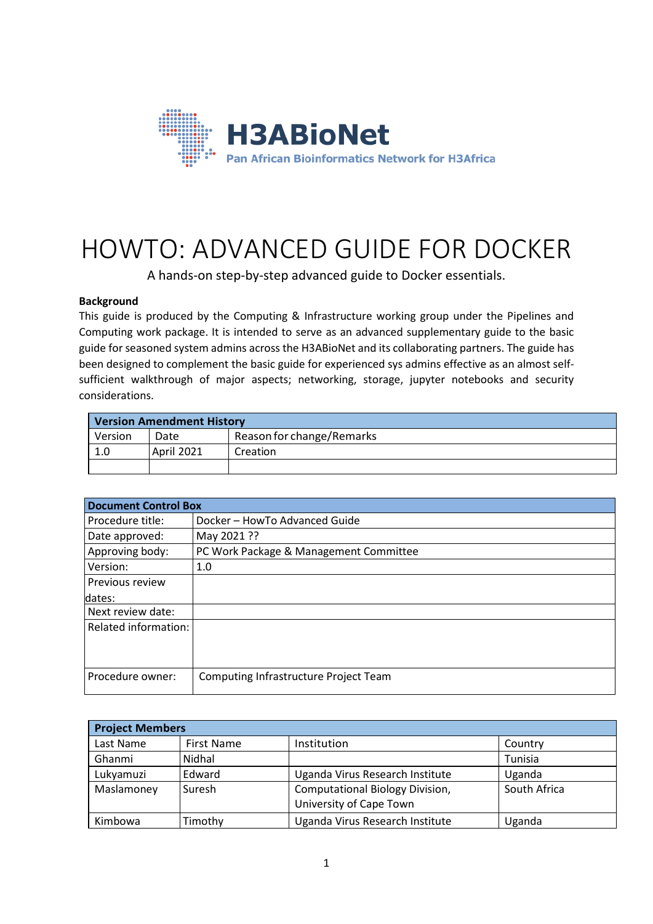

# HOWTO: ADVANCED GUIDE FOR DOCKER

A hands-on step-by-step advanced guide to Docker essentials.

# **Background**

This guide is produced by the Computing & Infrastructure working group under the Pipelines and Computing work package. It is intended to serve as an advanced supplementary guide to the basic guide for seasoned system admins across the H3ABioNet and its collaborating partners. The guide has been designed to complement the basic guide for experienced sys admins effective as an almost selfsufficient walkthrough of major aspects; networking, storage, jupyter notebooks and security considerations.

| <b>Version Amendment History</b> |            |                           |  |  |  |
|----------------------------------|------------|---------------------------|--|--|--|
| Version                          | Date       | Reason for change/Remarks |  |  |  |
| 1.0                              | April 2021 | Creation                  |  |  |  |
|                                  |            |                           |  |  |  |

| <b>Document Control Box</b>            |  |  |  |  |
|----------------------------------------|--|--|--|--|
| Docker - HowTo Advanced Guide          |  |  |  |  |
| May 2021 ??                            |  |  |  |  |
| PC Work Package & Management Committee |  |  |  |  |
| 1.0                                    |  |  |  |  |
|                                        |  |  |  |  |
|                                        |  |  |  |  |
|                                        |  |  |  |  |
|                                        |  |  |  |  |
|                                        |  |  |  |  |
|                                        |  |  |  |  |
| Computing Infrastructure Project Team  |  |  |  |  |
|                                        |  |  |  |  |

| <b>Project Members</b> |                   |                                                                   |              |  |  |
|------------------------|-------------------|-------------------------------------------------------------------|--------------|--|--|
| Last Name              | <b>First Name</b> | Institution                                                       | Country      |  |  |
| Ghanmi                 | Nidhal            |                                                                   | Tunisia      |  |  |
| Lukyamuzi              | Edward            | Uganda Virus Research Institute                                   | Uganda       |  |  |
| Maslamoney             | Suresh            | <b>Computational Biology Division,</b><br>University of Cape Town | South Africa |  |  |
| Kimbowa                | Fimothy           | Uganda Virus Research Institute                                   | Uganda       |  |  |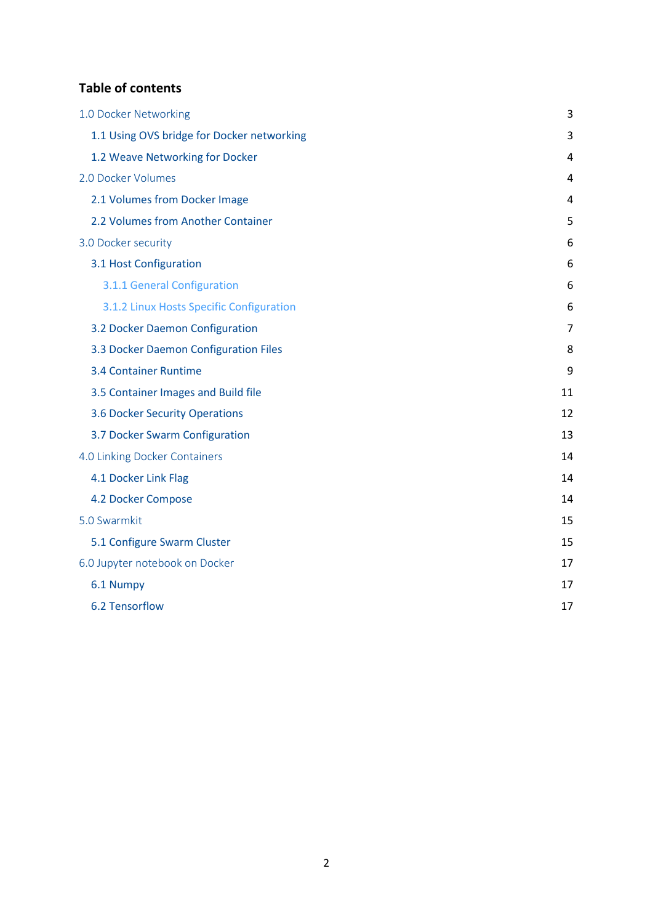# **Table of contents**

| 1.0 Docker Networking                      | 3              |
|--------------------------------------------|----------------|
| 1.1 Using OVS bridge for Docker networking | 3              |
| 1.2 Weave Networking for Docker            | 4              |
| 2.0 Docker Volumes                         | 4              |
| 2.1 Volumes from Docker Image              | 4              |
| 2.2 Volumes from Another Container         | 5              |
| 3.0 Docker security                        | 6              |
| 3.1 Host Configuration                     | 6              |
| 3.1.1 General Configuration                | 6              |
| 3.1.2 Linux Hosts Specific Configuration   | 6              |
| 3.2 Docker Daemon Configuration            | $\overline{7}$ |
| 3.3 Docker Daemon Configuration Files      | 8              |
| <b>3.4 Container Runtime</b>               | 9              |
| 3.5 Container Images and Build file        | 11             |
| <b>3.6 Docker Security Operations</b>      | 12             |
| 3.7 Docker Swarm Configuration             | 13             |
| 4.0 Linking Docker Containers              | 14             |
| 4.1 Docker Link Flag                       | 14             |
| 4.2 Docker Compose                         | 14             |
| 5.0 Swarmkit                               | 15             |
| 5.1 Configure Swarm Cluster                | 15             |
| 6.0 Jupyter notebook on Docker             | 17             |
| 6.1 Numpy                                  | 17             |
| 6.2 Tensorflow                             | 17             |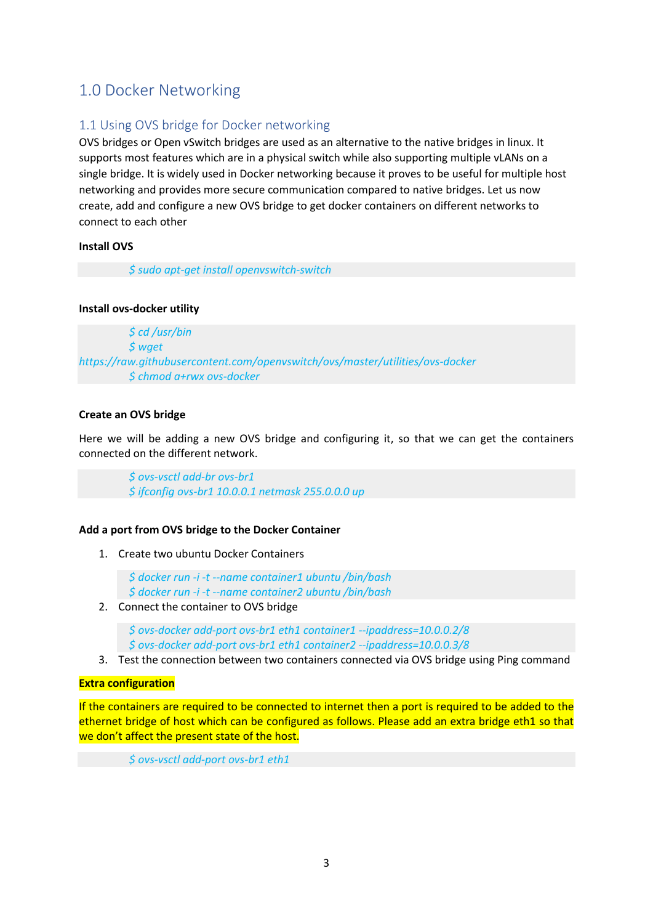# <span id="page-2-0"></span>1.0 Docker Networking

# <span id="page-2-1"></span>1.1 Using OVS bridge for Docker networking

OVS bridges or Open vSwitch bridges are used as an alternative to the native bridges in linux. It supports most features which are in a physical switch while also supporting multiple vLANs on a single bridge. It is widely used in Docker networking because it proves to be useful for multiple host networking and provides more secure communication compared to native bridges. Let us now create, add and configure a new OVS bridge to get docker containers on different networks to connect to each other

# **Install OVS**

*\$ sudo apt-get install openvswitch-switch*

# **Install ovs-docker utility**

*\$ cd /usr/bin \$ wget https://raw.githubusercontent.com/openvswitch/ovs/master/utilities/ovs-docker \$ chmod a+rwx ovs-docker*

# **Create an OVS bridge**

Here we will be adding a new OVS bridge and configuring it, so that we can get the containers connected on the different network.

> *\$ ovs-vsctl add-br ovs-br1 \$ ifconfig ovs-br1 10.0.0.1 netmask 255.0.0.0 up*

# **Add a port from OVS bridge to the Docker Container**

1. Create two ubuntu Docker Containers

*\$ docker run -i -t --name container1 ubuntu /bin/bash \$ docker run -i -t --name container2 ubuntu /bin/bash*

2. Connect the container to OVS bridge

*\$ ovs-docker add-port ovs-br1 eth1 container1 --ipaddress=10.0.0.2/8 \$ ovs-docker add-port ovs-br1 eth1 container2 --ipaddress=10.0.0.3/8*

3. Test the connection between two containers connected via OVS bridge using Ping command

# **Extra configuration**

If the containers are required to be connected to internet then a port is required to be added to the ethernet bridge of host which can be configured as follows. Please add an extra bridge eth1 so that we don't affect the present state of the host.

*\$ ovs-vsctl add-port ovs-br1 eth1*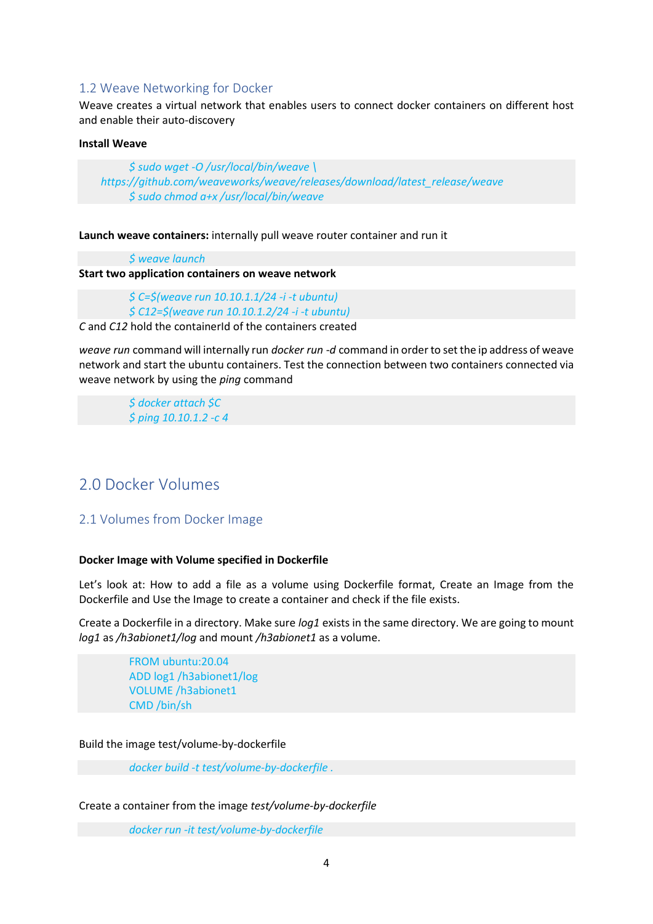# <span id="page-3-0"></span>1.2 Weave Networking for Docker

Weave creates a virtual network that enables users to connect docker containers on different host and enable their auto-discovery

#### **Install Weave**

*\$ sudo wget -O /usr/local/bin/weave \ https://github.com/weaveworks/weave/releases/download/latest\_release/weave \$ sudo chmod a+x /usr/local/bin/weave*

**Launch weave containers:** internally pull weave router container and run it

*\$ weave launch*

**Start two application containers on weave network**

*\$ C=\$(weave run 10.10.1.1/24 -i -t ubuntu) \$ C12=\$(weave run 10.10.1.2/24 -i -t ubuntu)*

*C* and *C12* hold the containerId of the containers created

*weave run* command will internally run *docker run -d* command in order to set the ip address of weave network and start the ubuntu containers. Test the connection between two containers connected via weave network by using the *ping* command

*\$ docker attach \$C \$ ping 10.10.1.2 -c 4*

# <span id="page-3-1"></span>2.0 Docker Volumes

# <span id="page-3-2"></span>2.1 Volumes from Docker Image

#### **Docker Image with Volume specified in Dockerfile**

Let's look at: How to add a file as a volume using Dockerfile format, Create an Image from the Dockerfile and Use the Image to create a container and check if the file exists.

Create a Dockerfile in a directory. Make sure *log1* exists in the same directory. We are going to mount *log1* as */h3abionet1/log* and mount */h3abionet1* as a volume.

> FROM ubuntu:20.04 ADD log1 /h3abionet1/log VOLUME /h3abionet1 CMD /bin/sh

Build the image test/volume-by-dockerfile

*docker build -t test/volume-by-dockerfile .*

Create a container from the image *test/volume-by-dockerfile*

*docker run -it test/volume-by-dockerfile*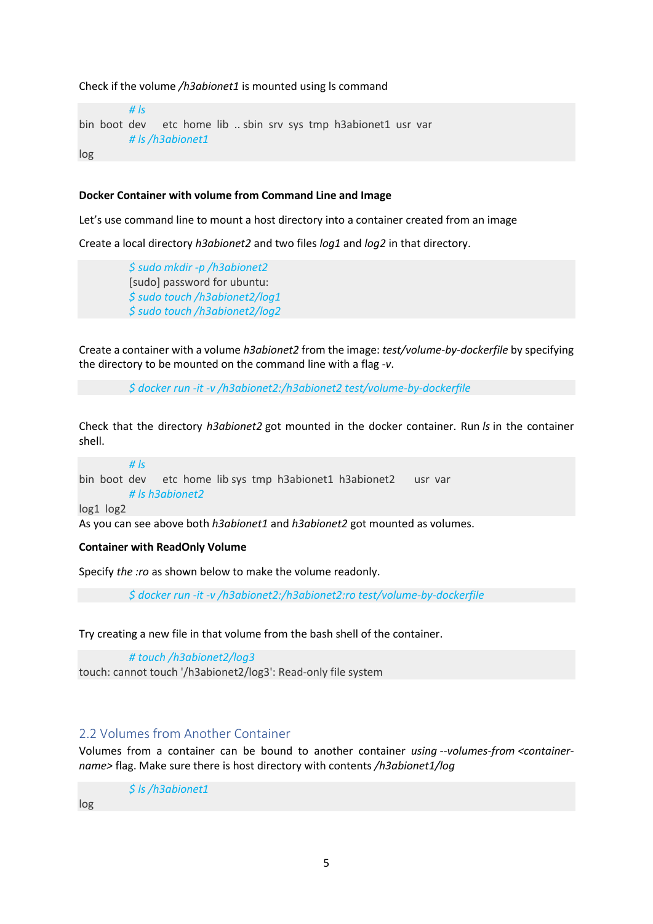Check if the volume */h3abionet1* is mounted using ls command

*# ls* bin boot dev etc home lib .. sbin srv sys tmp h3abionet1 usr var *# ls /h3abionet1*

log

#### **Docker Container with volume from Command Line and Image**

Let's use command line to mount a host directory into a container created from an image

Create a local directory *h3abionet2* and two files *log1* and *log2* in that directory.

*\$ sudo mkdir -p /h3abionet2* [sudo] password for ubuntu: *\$ sudo touch /h3abionet2/log1 \$ sudo touch /h3abionet2/log2*

Create a container with a volume *h3abionet2* from the image: *test/volume-by-dockerfile* by specifying the directory to be mounted on the command line with a flag *-v*.

*\$ docker run -it -v /h3abionet2:/h3abionet2 test/volume-by-dockerfile*

Check that the directory *h3abionet2* got mounted in the docker container. Run *ls* in the container shell.

*# ls* bin boot dev etc home lib sys tmp h3abionet1 h3abionet2 usr var *# ls h3abionet2* log1 log2

As you can see above both *h3abionet1* and *h3abionet2* got mounted as volumes.

#### **Container with ReadOnly Volume**

Specify *the :ro* as shown below to make the volume readonly.

*\$ docker run -it -v /h3abionet2:/h3abionet2:ro test/volume-by-dockerfile*

Try creating a new file in that volume from the bash shell of the container.

*# touch /h3abionet2/log3* touch: cannot touch '/h3abionet2/log3': Read-only file system

# <span id="page-4-0"></span>2.2 Volumes from Another Container

Volumes from a container can be bound to another container *using --volumes-from <containername>* flag. Make sure there is host directory with contents */h3abionet1/log*

*\$ ls /h3abionet1*

log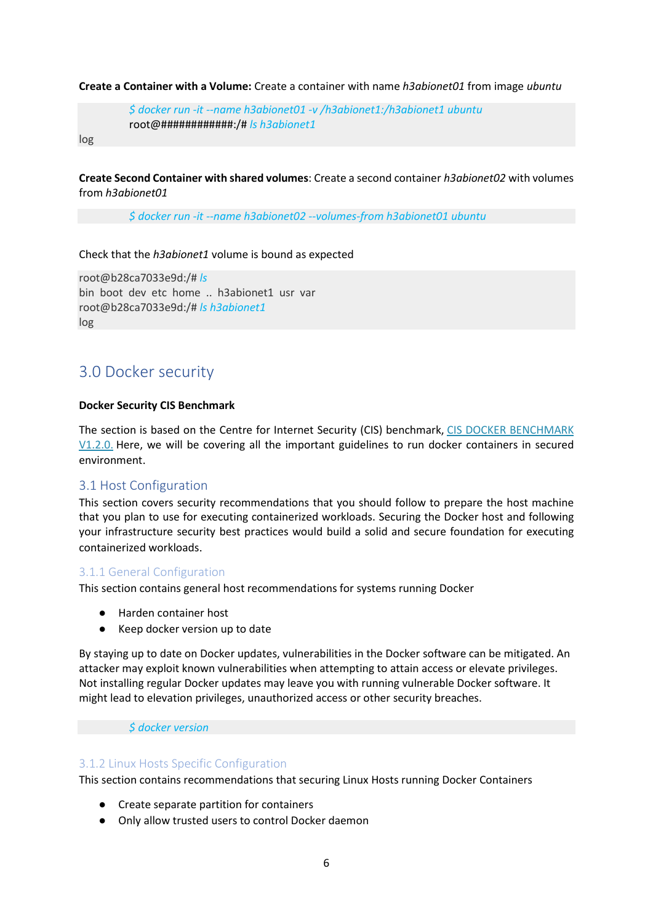#### **Create a Container with a Volume:** Create a container with name *h3abionet01* from image *ubuntu*

*\$ docker run -it --name h3abionet01 -v /h3abionet1:/h3abionet1 ubuntu* root@############:/# *ls h3abionet1*

log

**Create Second Container with shared volumes**: Create a second container *h3abionet02* with volumes from *h3abionet01*

*\$ docker run -it --name h3abionet02 --volumes-from h3abionet01 ubuntu*

#### Check that the *h3abionet1* volume is bound as expected

root@b28ca7033e9d:/# *ls* bin boot dev etc home .. h3abionet1 usr var root@b28ca7033e9d:/# *ls h3abionet1* log

# <span id="page-5-0"></span>3.0 Docker security

#### **Docker Security CIS Benchmark**

The section is based on the Centre for Internet Security (CIS) benchmark, [CIS DOCKER BENCHMARK](https://benchmarks.cisecurity.org/downloads/show-single/?file=docker16.100)  [V1.2.0.](https://benchmarks.cisecurity.org/downloads/show-single/?file=docker16.100) Here, we will be covering all the important guidelines to run docker containers in secured environment.

# <span id="page-5-1"></span>3.1 Host Configuration

This section covers security recommendations that you should follow to prepare the host machine that you plan to use for executing containerized workloads. Securing the Docker host and following your infrastructure security best practices would build a solid and secure foundation for executing containerized workloads.

# <span id="page-5-2"></span>3.1.1 General Configuration

This section contains general host recommendations for systems running Docker

- Harden container host
- Keep docker version up to date

By staying up to date on Docker updates, vulnerabilities in the Docker software can be mitigated. An attacker may exploit known vulnerabilities when attempting to attain access or elevate privileges. Not installing regular Docker updates may leave you with running vulnerable Docker software. It might lead to elevation privileges, unauthorized access or other security breaches.

# *\$ docker version*

# <span id="page-5-3"></span>3.1.2 Linux Hosts Specific Configuration

This section contains recommendations that securing Linux Hosts running Docker Containers

- Create separate partition for containers
- Only allow trusted users to control Docker daemon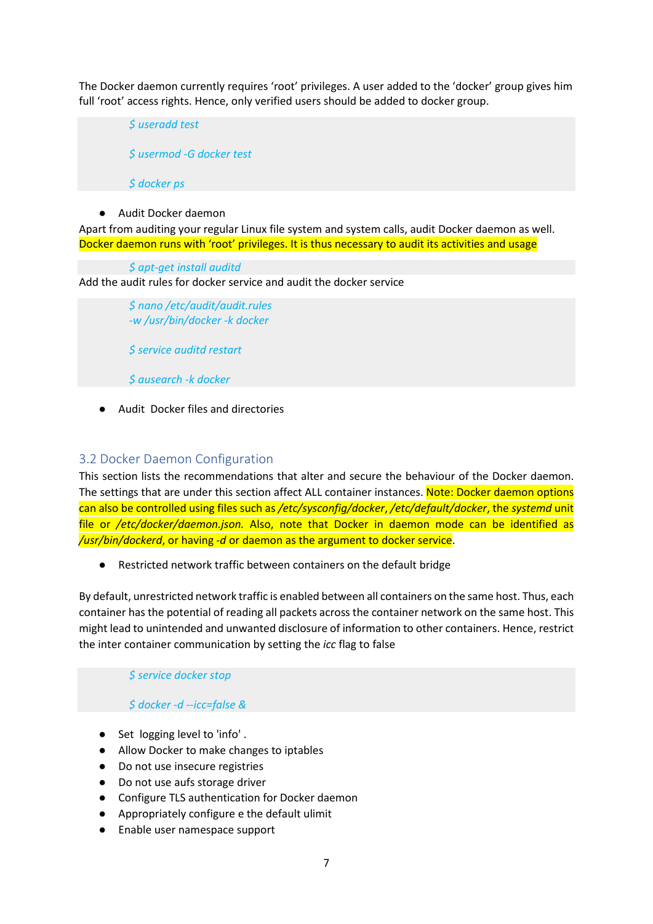The Docker daemon currently requires 'root' privileges. A user added to the 'docker' group gives him full 'root' access rights. Hence, only verified users should be added to docker group.

*\$ useradd test \$ usermod -G docker test \$ docker ps*

# ● Audit Docker daemon

Apart from auditing your regular Linux file system and system calls, audit Docker daemon as well. Docker daemon runs with 'root' privileges. It is thus necessary to audit its activities and usage

*\$ apt-get install auditd*

Add the audit rules for docker service and audit the docker service

*\$ nano /etc/audit/audit.rules -w /usr/bin/docker -k docker*

*\$ service auditd restart*

*\$ ausearch -k docker*

● Audit Docker files and directories

# <span id="page-6-0"></span>3.2 Docker Daemon Configuration

This section lists the recommendations that alter and secure the behaviour of the Docker daemon. The settings that are under this section affect ALL container instances. Note: Docker daemon options can also be controlled using files such as */etc/sysconfig/docker*, */etc/default/docker*, the *systemd* unit file or */etc/docker/daemon.json.* Also, note that Docker in daemon mode can be identified as */usr/bin/dockerd*, or having *-d* or daemon as the argument to docker service.

Restricted network traffic between containers on the default bridge

By default, unrestricted network traffic is enabled between all containers on the same host. Thus, each container has the potential of reading all packets across the container network on the same host. This might lead to unintended and unwanted disclosure of information to other containers. Hence, restrict the inter container communication by setting the *icc* flag to false

*\$ service docker stop*

# *\$ docker -d --icc=false &*

- Set logging level to 'info'.
- Allow Docker to make changes to iptables
- Do not use insecure registries
- Do not use aufs storage driver
- Configure TLS authentication for Docker daemon
- Appropriately configure e the default ulimit
- Enable user namespace support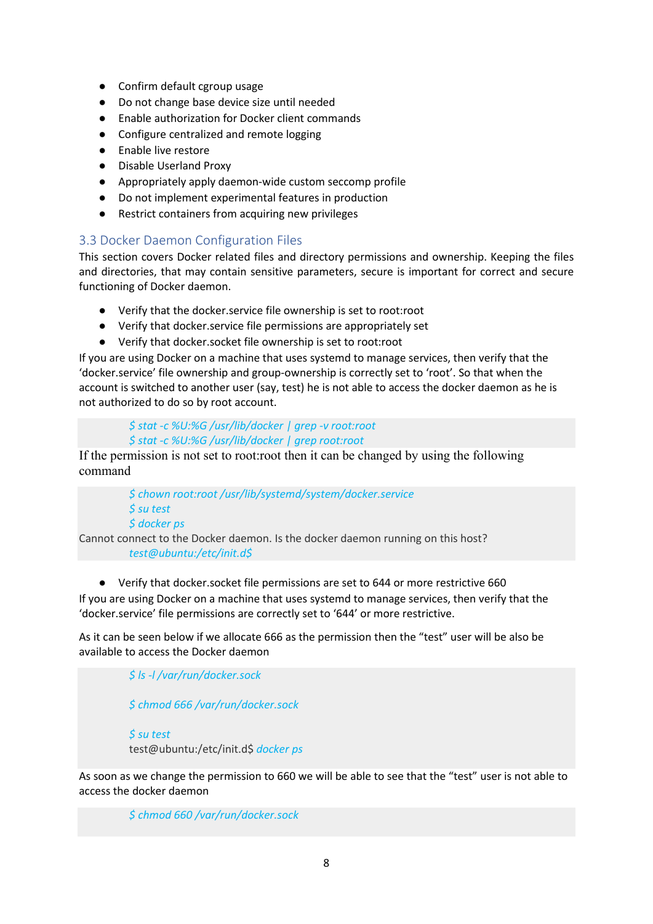- Confirm default cgroup usage
- Do not change base device size until needed
- Enable authorization for Docker client commands
- Configure centralized and remote logging
- Enable live restore
- Disable Userland Proxy
- Appropriately apply daemon-wide custom seccomp profile
- Do not implement experimental features in production
- Restrict containers from acquiring new privileges

# <span id="page-7-0"></span>3.3 Docker Daemon Configuration Files

This section covers Docker related files and directory permissions and ownership. Keeping the files and directories, that may contain sensitive parameters, secure is important for correct and secure functioning of Docker daemon.

- Verify that the docker.service file ownership is set to root:root
- Verify that docker.service file permissions are appropriately set
- Verify that docker.socket file ownership is set to root:root

If you are using Docker on a machine that uses systemd to manage services, then verify that the 'docker.service' file ownership and group-ownership is correctly set to 'root'. So that when the account is switched to another user (say, test) he is not able to access the docker daemon as he is not authorized to do so by root account.

> *\$ stat -c %U:%G /usr/lib/docker | grep -v root:root \$ stat -c %U:%G /usr/lib/docker | grep root:root*

If the permission is not set to root:root then it can be changed by using the following command

> *\$ chown root:root /usr/lib/systemd/system/docker.service \$ su test \$ docker ps*

Cannot connect to the Docker daemon. Is the docker daemon running on this host? *test@ubuntu:/etc/init.d\$*

● Verify that docker.socket file permissions are set to 644 or more restrictive 660 If you are using Docker on a machine that uses systemd to manage services, then verify that the 'docker.service' file permissions are correctly set to '644' or more restrictive.

As it can be seen below if we allocate 666 as the permission then the "test" user will be also be available to access the Docker daemon

> *\$ ls -l /var/run/docker.sock \$ chmod 666 /var/run/docker.sock*

*\$ su test* test@ubuntu:/etc/init.d\$ *docker ps*

As soon as we change the permission to 660 we will be able to see that the "test" user is not able to access the docker daemon

*\$ chmod 660 /var/run/docker.sock*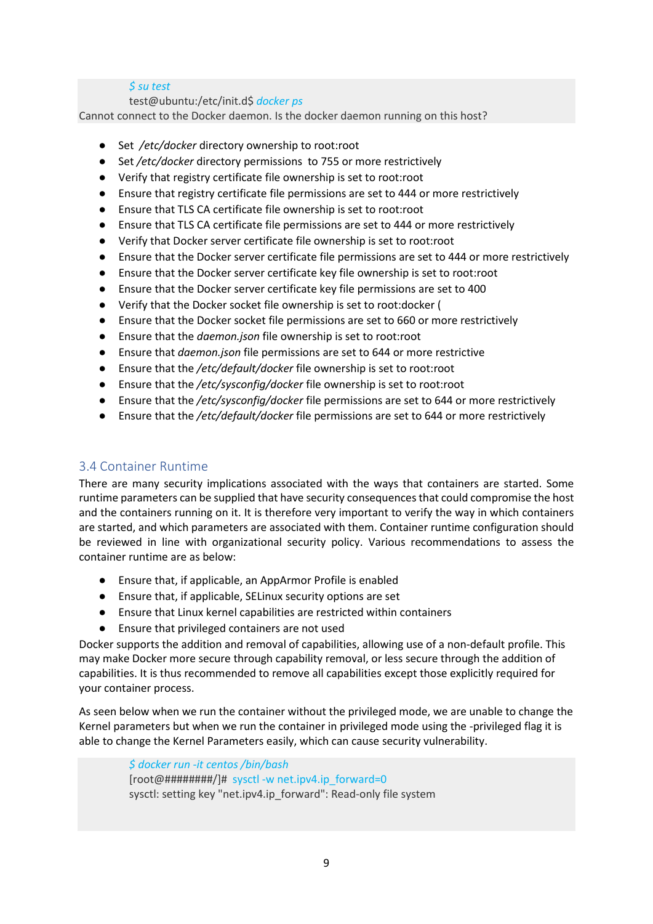# *\$ su test*

test@ubuntu:/etc/init.d\$ *docker ps*

Cannot connect to the Docker daemon. Is the docker daemon running on this host?

- Set /etc/docker directory ownership to root:root
- Set */etc/docker* directory permissions to 755 or more restrictively
- Verify that registry certificate file ownership is set to root:root
- Ensure that registry certificate file permissions are set to 444 or more restrictively
- Ensure that TLS CA certificate file ownership is set to root:root
- Ensure that TLS CA certificate file permissions are set to 444 or more restrictively
- Verify that Docker server certificate file ownership is set to root:root
- Ensure that the Docker server certificate file permissions are set to 444 or more restrictively
- Ensure that the Docker server certificate key file ownership is set to root:root
- Ensure that the Docker server certificate key file permissions are set to 400
- Verify that the Docker socket file ownership is set to root:docker (
- Ensure that the Docker socket file permissions are set to 660 or more restrictively
- Ensure that the *daemon.json* file ownership is set to root:root
- Ensure that *daemon.json* file permissions are set to 644 or more restrictive
- Ensure that the */etc/default/docker* file ownership is set to root:root
- Ensure that the */etc/sysconfig/docker* file ownership is set to root:root
- Ensure that the */etc/sysconfig/docker* file permissions are set to 644 or more restrictively
- Ensure that the */etc/default/docker* file permissions are set to 644 or more restrictively

# <span id="page-8-0"></span>3.4 Container Runtime

There are many security implications associated with the ways that containers are started. Some runtime parameters can be supplied that have security consequences that could compromise the host and the containers running on it. It is therefore very important to verify the way in which containers are started, and which parameters are associated with them. Container runtime configuration should be reviewed in line with organizational security policy. Various recommendations to assess the container runtime are as below:

- Ensure that, if applicable, an AppArmor Profile is enabled
- Ensure that, if applicable, SELinux security options are set
- Ensure that Linux kernel capabilities are restricted within containers
- Ensure that privileged containers are not used

Docker supports the addition and removal of capabilities, allowing use of a non-default profile. This may make Docker more secure through capability removal, or less secure through the addition of capabilities. It is thus recommended to remove all capabilities except those explicitly required for your container process.

As seen below when we run the container without the privileged mode, we are unable to change the Kernel parameters but when we run the container in privileged mode using the -privileged flag it is able to change the Kernel Parameters easily, which can cause security vulnerability.

> *\$ docker run -it centos /bin/bash* [root@########/]# sysctl -w net.ipv4.ip\_forward=0 sysctl: setting key "net.ipv4.ip\_forward": Read-only file system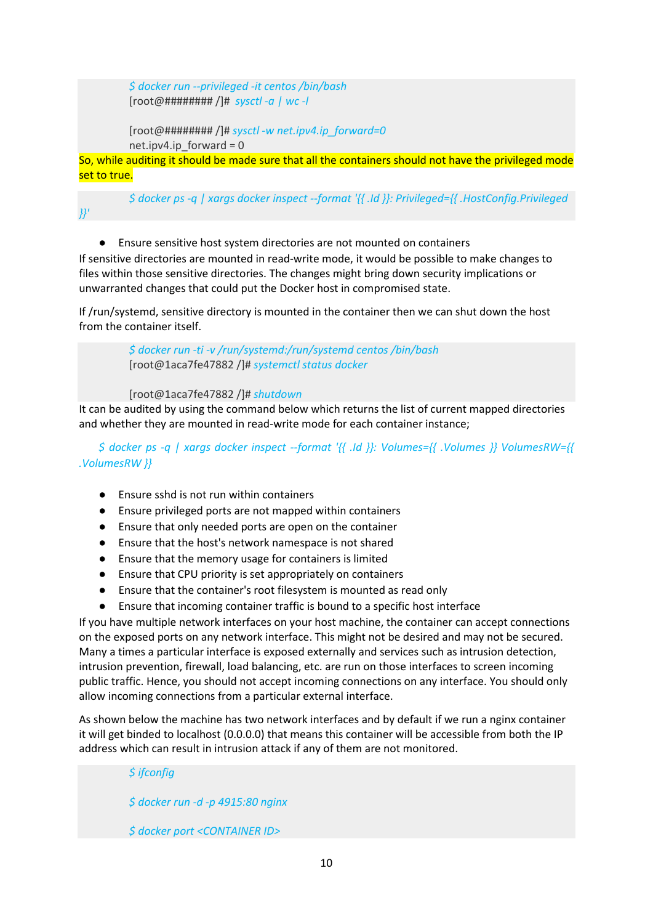*\$ docker run --privileged -it centos /bin/bash* [root@######## /]# *sysctl -a | wc -l*

[root@######## /]# *sysctl -w net.ipv4.ip\_forward=0* net.ipv4.ip\_forward =  $0$ 

So, while auditing it should be made sure that all the containers should not have the privileged mode set to true.

*\$ docker ps -q | xargs docker inspect --format '{{ .Id }}: Privileged={{ .HostConfig.Privileged }}'*

● Ensure sensitive host system directories are not mounted on containers

If sensitive directories are mounted in read-write mode, it would be possible to make changes to files within those sensitive directories. The changes might bring down security implications or unwarranted changes that could put the Docker host in compromised state.

If /run/systemd, sensitive directory is mounted in the container then we can shut down the host from the container itself.

> *\$ docker run -ti -v /run/systemd:/run/systemd centos /bin/bash* [root@1aca7fe47882 /]# *systemctl status docker*

[root@1aca7fe47882 /]# *shutdown*

It can be audited by using the command below which returns the list of current mapped directories and whether they are mounted in read-write mode for each container instance;

*\$ docker ps -q | xargs docker inspect --format '{{ .Id }}: Volumes={{ .Volumes }} VolumesRW={{ .VolumesRW }}*

- Ensure sshd is not run within containers
- Ensure privileged ports are not mapped within containers
- Ensure that only needed ports are open on the container
- Ensure that the host's network namespace is not shared
- Ensure that the memory usage for containers is limited
- Ensure that CPU priority is set appropriately on containers
- Ensure that the container's root filesystem is mounted as read only
- Ensure that incoming container traffic is bound to a specific host interface

If you have multiple network interfaces on your host machine, the container can accept connections on the exposed ports on any network interface. This might not be desired and may not be secured. Many a times a particular interface is exposed externally and services such as intrusion detection, intrusion prevention, firewall, load balancing, etc. are run on those interfaces to screen incoming public traffic. Hence, you should not accept incoming connections on any interface. You should only allow incoming connections from a particular external interface.

As shown below the machine has two network interfaces and by default if we run a nginx container it will get binded to localhost (0.0.0.0) that means this container will be accessible from both the IP address which can result in intrusion attack if any of them are not monitored.

> *\$ ifconfig \$ docker run -d -p 4915:80 nginx*

*\$ docker port <CONTAINER ID>*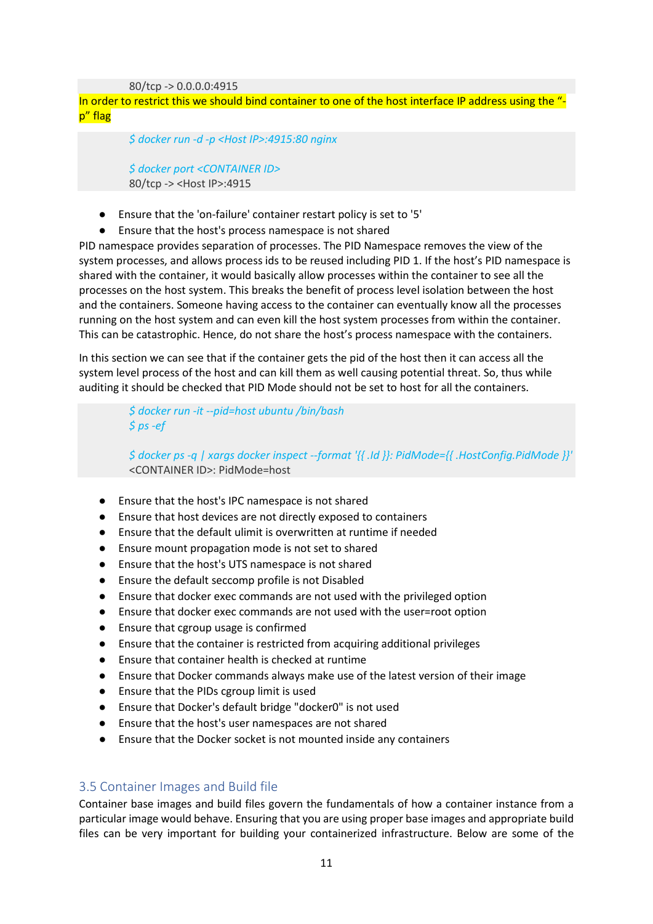80/tcp -> 0.0.0.0:4915

In order to restrict this we should bind container to one of the host interface IP address using the ' p" flag

*\$ docker run -d -p <Host IP>:4915:80 nginx*

*\$ docker port <CONTAINER ID>* 80/tcp -> <Host IP>:4915

- Ensure that the 'on-failure' container restart policy is set to '5'
- Ensure that the host's process namespace is not shared

PID namespace provides separation of processes. The PID Namespace removes the view of the system processes, and allows process ids to be reused including PID 1. If the host's PID namespace is shared with the container, it would basically allow processes within the container to see all the processes on the host system. This breaks the benefit of process level isolation between the host and the containers. Someone having access to the container can eventually know all the processes running on the host system and can even kill the host system processes from within the container. This can be catastrophic. Hence, do not share the host's process namespace with the containers.

In this section we can see that if the container gets the pid of the host then it can access all the system level process of the host and can kill them as well causing potential threat. So, thus while auditing it should be checked that PID Mode should not be set to host for all the containers.

> *\$ docker run -it --pid=host ubuntu /bin/bash \$ ps -ef*

*\$ docker ps -q | xargs docker inspect --format '{{ .Id }}: PidMode={{ .HostConfig.PidMode }}'* <CONTAINER ID>: PidMode=host

- Ensure that the host's IPC namespace is not shared
- Ensure that host devices are not directly exposed to containers
- Ensure that the default ulimit is overwritten at runtime if needed
- Ensure mount propagation mode is not set to shared
- Ensure that the host's UTS namespace is not shared
- Ensure the default seccomp profile is not Disabled
- Ensure that docker exec commands are not used with the privileged option
- Ensure that docker exec commands are not used with the user=root option
- Ensure that cgroup usage is confirmed
- Ensure that the container is restricted from acquiring additional privileges
- Ensure that container health is checked at runtime
- Ensure that Docker commands always make use of the latest version of their image
- Ensure that the PIDs cgroup limit is used
- Ensure that Docker's default bridge "docker0" is not used
- Ensure that the host's user namespaces are not shared
- Ensure that the Docker socket is not mounted inside any containers

# <span id="page-10-0"></span>3.5 Container Images and Build file

Container base images and build files govern the fundamentals of how a container instance from a particular image would behave. Ensuring that you are using proper base images and appropriate build files can be very important for building your containerized infrastructure. Below are some of the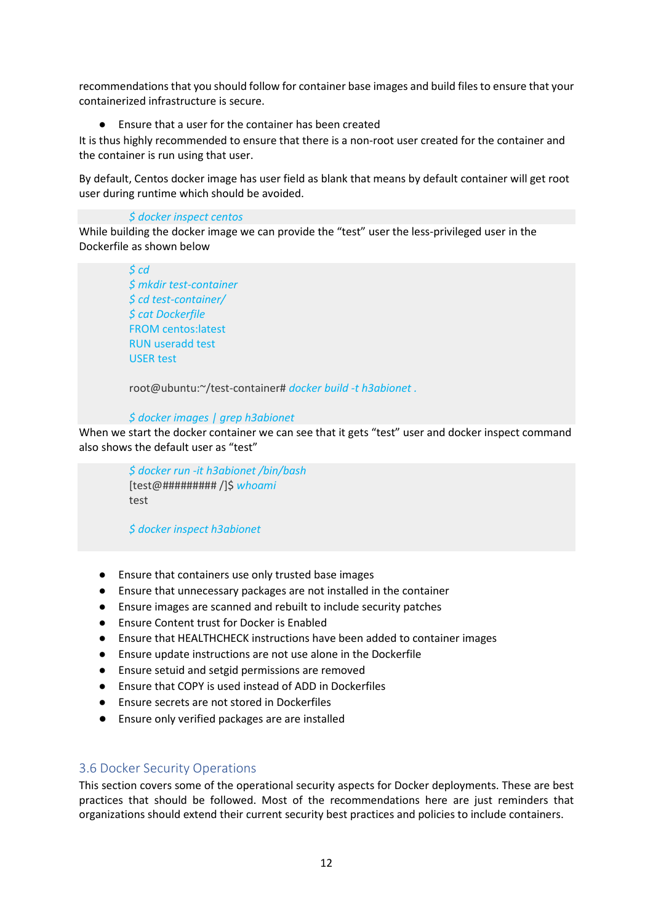recommendations that you should follow for container base images and build files to ensure that your containerized infrastructure is secure.

Ensure that a user for the container has been created

It is thus highly recommended to ensure that there is a non-root user created for the container and the container is run using that user.

By default, Centos docker image has user field as blank that means by default container will get root user during runtime which should be avoided.

#### *\$ docker inspect centos*

While building the docker image we can provide the "test" user the less-privileged user in the Dockerfile as shown below

> *\$ cd \$ mkdir test-container \$ cd test-container/ \$ cat Dockerfile* FROM centos:latest RUN useradd test USER test

root@ubuntu:~/test-container# *docker build -t h3abionet .*

# *\$ docker images | grep h3abionet*

When we start the docker container we can see that it gets "test" user and docker inspect command also shows the default user as "test"

> *\$ docker run -it h3abionet /bin/bash* [test@######### /]\$ *whoami* test

*\$ docker inspect h3abionet*

- Ensure that containers use only trusted base images
- Ensure that unnecessary packages are not installed in the container
- Ensure images are scanned and rebuilt to include security patches
- Ensure Content trust for Docker is Enabled
- Ensure that HEALTHCHECK instructions have been added to container images
- Ensure update instructions are not use alone in the Dockerfile
- Ensure setuid and setgid permissions are removed
- Ensure that COPY is used instead of ADD in Dockerfiles
- Ensure secrets are not stored in Dockerfiles
- Ensure only verified packages are are installed

# <span id="page-11-0"></span>3.6 Docker Security Operations

This section covers some of the operational security aspects for Docker deployments. These are best practices that should be followed. Most of the recommendations here are just reminders that organizations should extend their current security best practices and policies to include containers.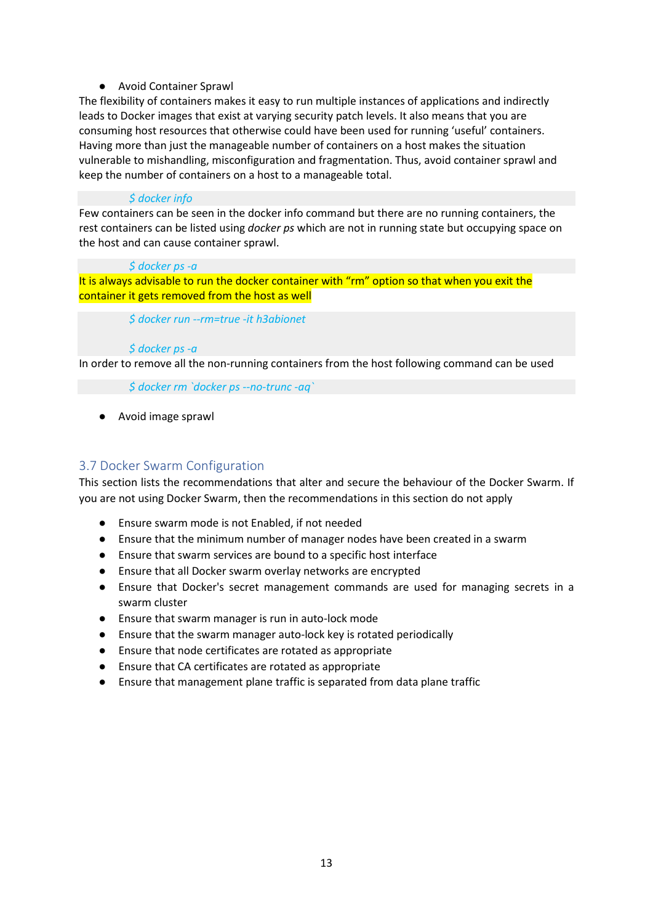# ● Avoid Container Sprawl

The flexibility of containers makes it easy to run multiple instances of applications and indirectly leads to Docker images that exist at varying security patch levels. It also means that you are consuming host resources that otherwise could have been used for running 'useful' containers. Having more than just the manageable number of containers on a host makes the situation vulnerable to mishandling, misconfiguration and fragmentation. Thus, avoid container sprawl and keep the number of containers on a host to a manageable total.

# *\$ docker info*

Few containers can be seen in the docker info command but there are no running containers, the rest containers can be listed using *docker ps* which are not in running state but occupying space on the host and can cause container sprawl.

# *\$ docker ps -a*

It is always advisable to run the docker container with "rm" option so that when you exit the container it gets removed from the host as well

# *\$ docker run --rm=true -it h3abionet*

# *\$ docker ps -a*

In order to remove all the non-running containers from the host following command can be used

*\$ docker rm `docker ps --no-trunc -aq`*

● Avoid image sprawl

# <span id="page-12-0"></span>3.7 Docker Swarm Configuration

This section lists the recommendations that alter and secure the behaviour of the Docker Swarm. If you are not using Docker Swarm, then the recommendations in this section do not apply

- Ensure swarm mode is not Enabled, if not needed
- Ensure that the minimum number of manager nodes have been created in a swarm
- Ensure that swarm services are bound to a specific host interface
- Ensure that all Docker swarm overlay networks are encrypted
- Ensure that Docker's secret management commands are used for managing secrets in a swarm cluster
- Ensure that swarm manager is run in auto-lock mode
- Ensure that the swarm manager auto-lock key is rotated periodically
- Ensure that node certificates are rotated as appropriate
- Ensure that CA certificates are rotated as appropriate
- Ensure that management plane traffic is separated from data plane traffic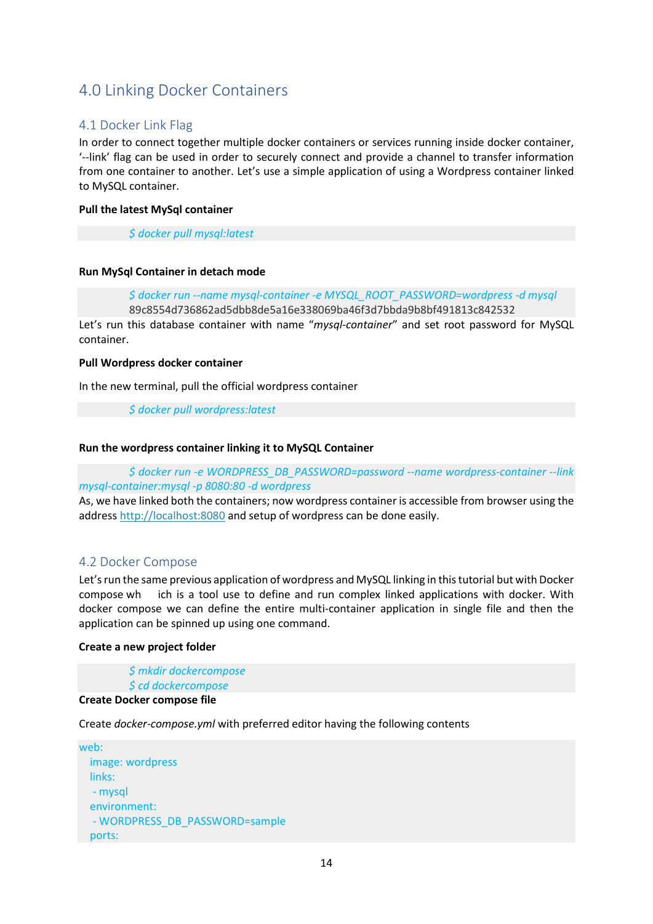# <span id="page-13-0"></span>4.0 Linking Docker Containers

# <span id="page-13-1"></span>4.1 Docker Link Flag

In order to connect together multiple docker containers or services running inside docker container, '--link' flag can be used in order to securely connect and provide a channel to transfer information from one container to another. Let's use a simple application of using a Wordpress container linked to MySQL container.

#### **Pull the latest MySql container**

*\$ docker pull mysql:latest*

# **Run MySql Container in detach mode**

*\$ docker run --name mysql-container -e MYSQL\_ROOT\_PASSWORD=wordpress -d mysql*

89c8554d736862ad5dbb8de5a16e338069ba46f3d7bbda9b8bf491813c842532

Let's run this database container with name "*mysql-container*" and set root password for MySQL container.

#### **Pull Wordpress docker container**

In the new terminal, pull the official wordpress container

*\$ docker pull wordpress:latest*

#### **Run the wordpress container linking it to MySQL Container**

*\$ docker run -e WORDPRESS\_DB\_PASSWORD=password --name wordpress-container --link mysql-container:mysql -p 8080:80 -d wordpress*

As, we have linked both the containers; now wordpress container is accessible from browser using the address [http://localhost:8080](http://localhost:8080/) and setup of wordpress can be done easily.

# <span id="page-13-2"></span>4.2 Docker Compose

Let's run the same previous application of wordpress and MySQL linking in this tutorial but with Docker compose wh ich is a tool use to define and run complex linked applications with docker. With docker compose we can define the entire multi-container application in single file and then the application can be spinned up using one command.

#### **Create a new project folder**

*\$ mkdir dockercompose \$ cd dockercompose*

# **Create Docker compose file**

Create *docker-compose.yml* with preferred editor having the following contents

```
web:
   image: wordpress
   links:
   - mysql
   environment:
   - WORDPRESS_DB_PASSWORD=sample
   ports:
```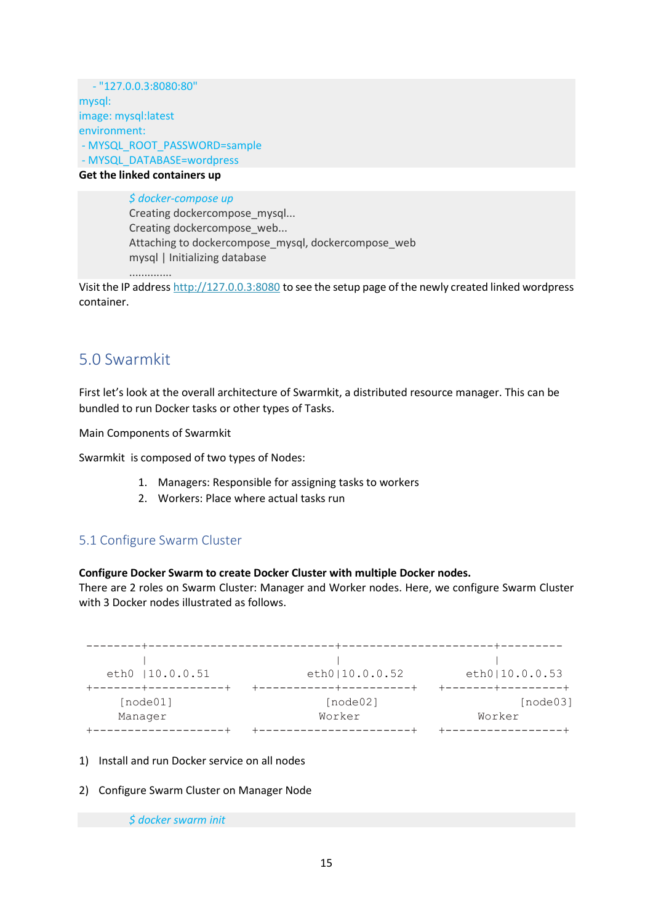- "127.0.0.3:8080:80" mysql: image: mysql:latest environment: - MYSQL\_ROOT\_PASSWORD=sample - MYSQL\_DATABASE=wordpress

**Get the linked containers up**

*\$ docker-compose up* Creating dockercompose\_mysql... Creating dockercompose\_web... Attaching to dockercompose\_mysql, dockercompose\_web mysql | Initializing database ..............

Visit the IP address [http://127.0.0.3:8080](http://127.0.0.3:8080/) to see the setup page of the newly created linked wordpress container.

# <span id="page-14-0"></span>5.0 Swarmkit

First let's look at the overall architecture of Swarmkit, a distributed resource manager. This can be bundled to run Docker tasks or other types of Tasks.

Main Components of Swarmkit

Swarmkit is composed of two types of Nodes:

- 1. Managers: Responsible for assigning tasks to workers
- 2. Workers: Place where actual tasks run

# <span id="page-14-1"></span>5.1 Configure Swarm Cluster

# **Configure Docker Swarm to create Docker Cluster with multiple Docker nodes.**

There are 2 roles on Swarm Cluster: Manager and Worker nodes. Here, we configure Swarm Cluster with 3 Docker nodes illustrated as follows.

```
--------+---------------------------+----------------------+---------
 | | |
   eth0 |10.0.0.51 eth0|10.0.0.52 eth0|10.0.0.53
+-------+-----------+ +-----------+----------+ +-------+---------+
   [node01] [node02] [node03] 
    Manager Worker Worker 
+-------------------+ +----------------------+ +-----------------+
```
- 1) Install and run Docker service on all nodes
- 2) Configure Swarm Cluster on Manager Node

*\$ docker swarm init*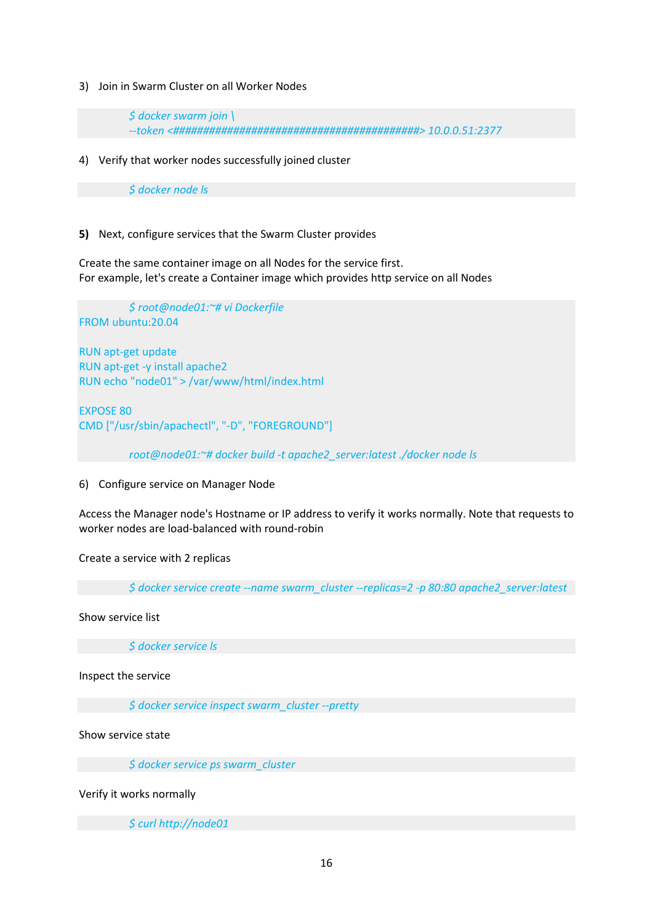3) Join in Swarm Cluster on all Worker Nodes

*\$ docker swarm join \ --token <#########################################> 10.0.0.51:2377* 

4) Verify that worker nodes successfully joined cluster

*\$ docker node ls* 

#### **5)** Next, configure services that the Swarm Cluster provides

Create the same container image on all Nodes for the service first. For example, let's create a Container image which provides http service on all Nodes

*\$ root@node01:~# vi Dockerfile* FROM ubuntu:20.04 RUN apt-get update RUN apt-get -y install apache2 RUN echo "node01" > /var/www/html/index.html

EXPOSE 80 CMD ["/usr/sbin/apachectl", "-D", "FOREGROUND"]

*root@node01:~# docker build -t apache2\_server:latest ./docker node ls* 

6) Configure service on Manager Node

Access the Manager node's Hostname or IP address to verify it works normally. Note that requests to worker nodes are load-balanced with round-robin

Create a service with 2 replicas

*\$ docker service create --name swarm\_cluster --replicas=2 -p 80:80 apache2\_server:latest*

Show service list

*\$ docker service ls*

Inspect the service

*\$ docker service inspect swarm\_cluster --pretty* 

Show service state

*\$ docker service ps swarm\_cluster*

Verify it works normally

*\$ curl [http://node01](http://node01/)*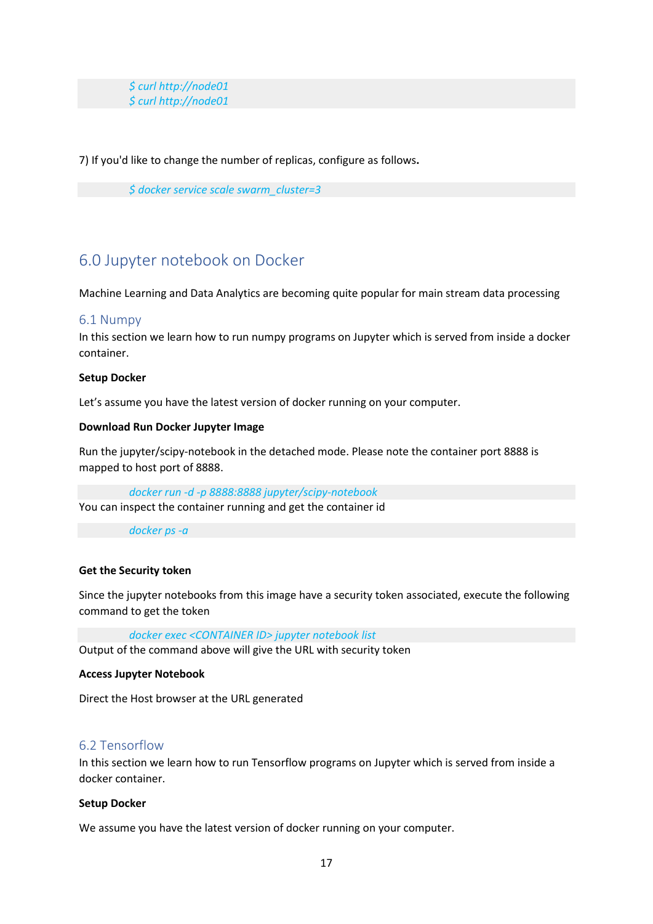*\$ curl [http://node01](http://node01/) \$ curl [http://node01](http://node01/)*

7) If you'd like to change the number of replicas, configure as follows**.**

*\$ docker service scale swarm\_cluster=3*

# <span id="page-16-0"></span>6.0 Jupyter notebook on Docker

Machine Learning and Data Analytics are becoming quite popular for main stream data processing

# <span id="page-16-1"></span>6.1 Numpy

In this section we learn how to run numpy programs on Jupyter which is served from inside a docker container.

#### **Setup Docker**

Let's assume you have the latest version of docker running on your computer.

#### **Download Run Docker Jupyter Image**

Run the jupyter/scipy-notebook in the detached mode. Please note the container port 8888 is mapped to host port of 8888.

*docker run -d -p 8888:8888 jupyter/scipy-notebook* You can inspect the container running and get the container id

*docker ps -a*

## **Get the Security token**

Since the jupyter notebooks from this image have a security token associated, execute the following command to get the token

*docker exec <CONTAINER ID> jupyter notebook list*

Output of the command above will give the URL with security token

#### **Access Jupyter Notebook**

Direct the Host browser at the URL generated

# <span id="page-16-2"></span>6.2 Tensorflow

In this section we learn how to run Tensorflow programs on Jupyter which is served from inside a docker container.

#### **Setup Docker**

We assume you have the latest version of docker running on your computer.